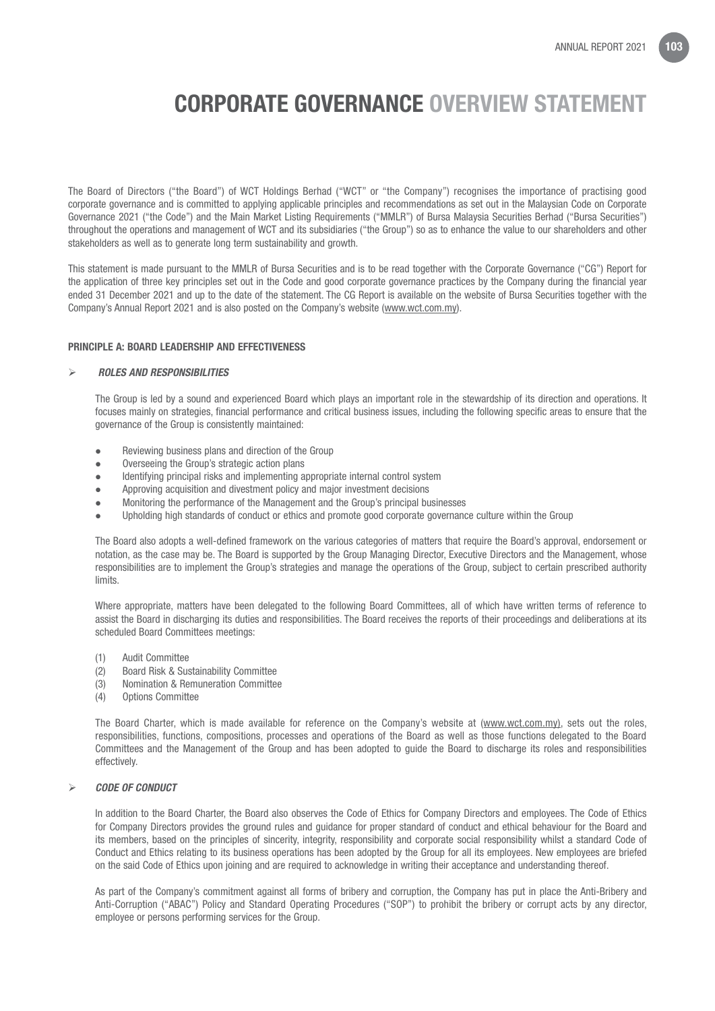The Board of Directors ("the Board") of WCT Holdings Berhad ("WCT" or "the Company") recognises the importance of practising good corporate governance and is committed to applying applicable principles and recommendations as set out in the Malaysian Code on Corporate Governance 2021 ("the Code") and the Main Market Listing Requirements ("MMLR") of Bursa Malaysia Securities Berhad ("Bursa Securities") throughout the operations and management of WCT and its subsidiaries ("the Group") so as to enhance the value to our shareholders and other stakeholders as well as to generate long term sustainability and growth.

This statement is made pursuant to the MMLR of Bursa Securities and is to be read together with the Corporate Governance ("CG") Report for the application of three key principles set out in the Code and good corporate governance practices by the Company during the financial year ended 31 December 2021 and up to the date of the statement. The CG Report is available on the website of Bursa Securities together with the Company's Annual Report 2021 and is also posted on the Company's website (www.wct.com.my).

#### PRINCIPLE A: BOARD LEADERSHIP AND EFFECTIVENESS

#### *ROLES AND RESPONSIBILITIES*

The Group is led by a sound and experienced Board which plays an important role in the stewardship of its direction and operations. It focuses mainly on strategies, financial performance and critical business issues, including the following specific areas to ensure that the governance of the Group is consistently maintained:

- Reviewing business plans and direction of the Group
- Overseeing the Group's strategic action plans
- Identifying principal risks and implementing appropriate internal control system
- Approving acquisition and divestment policy and major investment decisions
- Monitoring the performance of the Management and the Group's principal businesses
- l Upholding high standards of conduct or ethics and promote good corporate governance culture within the Group

The Board also adopts a well-defined framework on the various categories of matters that require the Board's approval, endorsement or notation, as the case may be. The Board is supported by the Group Managing Director, Executive Directors and the Management, whose responsibilities are to implement the Group's strategies and manage the operations of the Group, subject to certain prescribed authority limits.

Where appropriate, matters have been delegated to the following Board Committees, all of which have written terms of reference to assist the Board in discharging its duties and responsibilities. The Board receives the reports of their proceedings and deliberations at its scheduled Board Committees meetings:

- (1) Audit Committee
- (2) Board Risk & Sustainability Committee
- (3) Nomination & Remuneration Committee
- (4) Options Committee

The Board Charter, which is made available for reference on the Company's website at (www.wct.com.my), sets out the roles, responsibilities, functions, compositions, processes and operations of the Board as well as those functions delegated to the Board Committees and the Management of the Group and has been adopted to guide the Board to discharge its roles and responsibilities effectively.

#### *CODE OF CONDUCT*

In addition to the Board Charter, the Board also observes the Code of Ethics for Company Directors and employees. The Code of Ethics for Company Directors provides the ground rules and guidance for proper standard of conduct and ethical behaviour for the Board and its members, based on the principles of sincerity, integrity, responsibility and corporate social responsibility whilst a standard Code of Conduct and Ethics relating to its business operations has been adopted by the Group for all its employees. New employees are briefed on the said Code of Ethics upon joining and are required to acknowledge in writing their acceptance and understanding thereof.

As part of the Company's commitment against all forms of bribery and corruption, the Company has put in place the Anti-Bribery and Anti-Corruption ("ABAC") Policy and Standard Operating Procedures ("SOP") to prohibit the bribery or corrupt acts by any director, employee or persons performing services for the Group.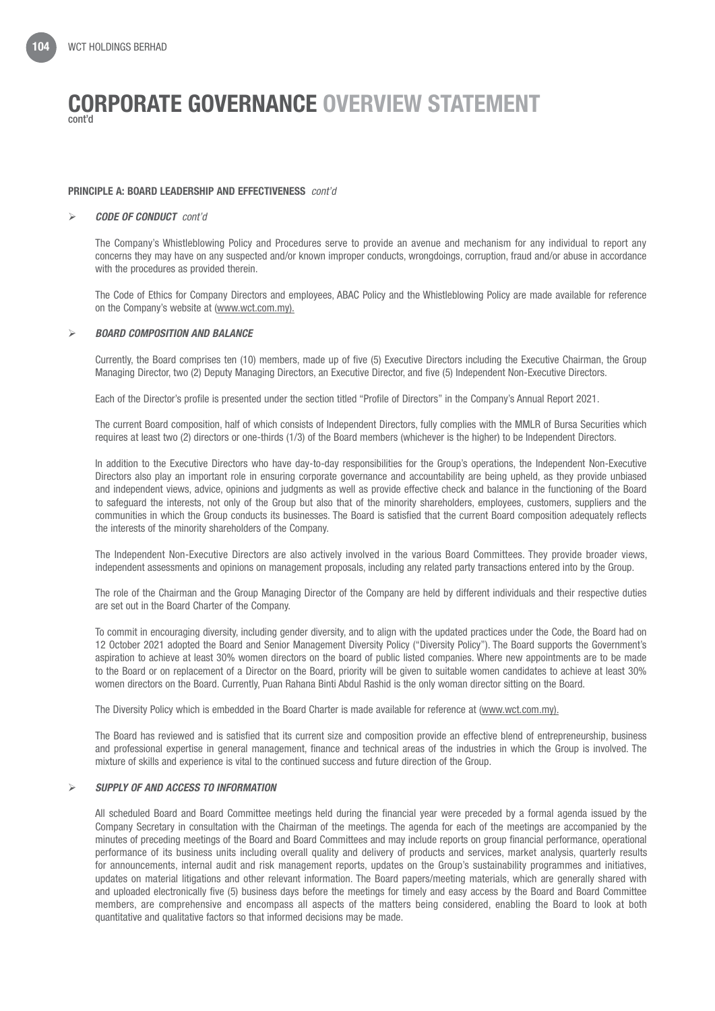#### PRINCIPLE A: BOARD LEADERSHIP AND EFFECTIVENESS *cont'd*

#### *CODE OF CONDUCT cont'd*

The Company's Whistleblowing Policy and Procedures serve to provide an avenue and mechanism for any individual to report any concerns they may have on any suspected and/or known improper conducts, wrongdoings, corruption, fraud and/or abuse in accordance with the procedures as provided therein.

The Code of Ethics for Company Directors and employees, ABAC Policy and the Whistleblowing Policy are made available for reference on the Company's website at (www.wct.com.my).

#### *BOARD COMPOSITION AND BALANCE*

Currently, the Board comprises ten (10) members, made up of five (5) Executive Directors including the Executive Chairman, the Group Managing Director, two (2) Deputy Managing Directors, an Executive Director, and five (5) Independent Non-Executive Directors.

Each of the Director's profile is presented under the section titled "Profile of Directors" in the Company's Annual Report 2021.

The current Board composition, half of which consists of Independent Directors, fully complies with the MMLR of Bursa Securities which requires at least two (2) directors or one-thirds (1/3) of the Board members (whichever is the higher) to be Independent Directors.

In addition to the Executive Directors who have day-to-day responsibilities for the Group's operations, the Independent Non-Executive Directors also play an important role in ensuring corporate governance and accountability are being upheld, as they provide unbiased and independent views, advice, opinions and judgments as well as provide effective check and balance in the functioning of the Board to safeguard the interests, not only of the Group but also that of the minority shareholders, employees, customers, suppliers and the communities in which the Group conducts its businesses. The Board is satisfied that the current Board composition adequately reflects the interests of the minority shareholders of the Company.

The Independent Non-Executive Directors are also actively involved in the various Board Committees. They provide broader views, independent assessments and opinions on management proposals, including any related party transactions entered into by the Group.

The role of the Chairman and the Group Managing Director of the Company are held by different individuals and their respective duties are set out in the Board Charter of the Company.

To commit in encouraging diversity, including gender diversity, and to align with the updated practices under the Code, the Board had on 12 October 2021 adopted the Board and Senior Management Diversity Policy ("Diversity Policy"). The Board supports the Government's aspiration to achieve at least 30% women directors on the board of public listed companies. Where new appointments are to be made to the Board or on replacement of a Director on the Board, priority will be given to suitable women candidates to achieve at least 30% women directors on the Board. Currently, Puan Rahana Binti Abdul Rashid is the only woman director sitting on the Board.

The Diversity Policy which is embedded in the Board Charter is made available for reference at (www.wct.com.my).

The Board has reviewed and is satisfied that its current size and composition provide an effective blend of entrepreneurship, business and professional expertise in general management, finance and technical areas of the industries in which the Group is involved. The mixture of skills and experience is vital to the continued success and future direction of the Group.

#### *SUPPLY OF AND ACCESS TO INFORMATION*

All scheduled Board and Board Committee meetings held during the financial year were preceded by a formal agenda issued by the Company Secretary in consultation with the Chairman of the meetings. The agenda for each of the meetings are accompanied by the minutes of preceding meetings of the Board and Board Committees and may include reports on group financial performance, operational performance of its business units including overall quality and delivery of products and services, market analysis, quarterly results for announcements, internal audit and risk management reports, updates on the Group's sustainability programmes and initiatives, updates on material litigations and other relevant information. The Board papers/meeting materials, which are generally shared with and uploaded electronically five (5) business days before the meetings for timely and easy access by the Board and Board Committee members, are comprehensive and encompass all aspects of the matters being considered, enabling the Board to look at both quantitative and qualitative factors so that informed decisions may be made.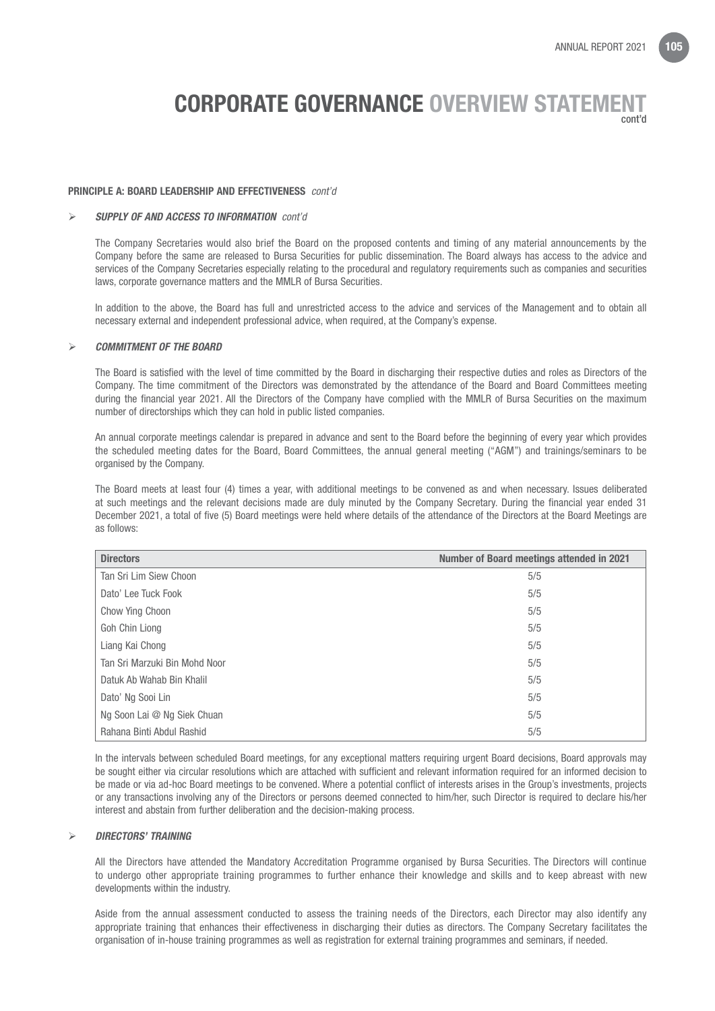#### PRINCIPLE A: BOARD LEADERSHIP AND EFFECTIVENESS *cont'd*

#### *SUPPLY OF AND ACCESS TO INFORMATION cont'd*

The Company Secretaries would also brief the Board on the proposed contents and timing of any material announcements by the Company before the same are released to Bursa Securities for public dissemination. The Board always has access to the advice and services of the Company Secretaries especially relating to the procedural and regulatory requirements such as companies and securities laws, corporate governance matters and the MMLR of Bursa Securities.

In addition to the above, the Board has full and unrestricted access to the advice and services of the Management and to obtain all necessary external and independent professional advice, when required, at the Company's expense.

#### *COMMITMENT OF THE BOARD*

The Board is satisfied with the level of time committed by the Board in discharging their respective duties and roles as Directors of the Company. The time commitment of the Directors was demonstrated by the attendance of the Board and Board Committees meeting during the financial year 2021. All the Directors of the Company have complied with the MMLR of Bursa Securities on the maximum number of directorships which they can hold in public listed companies.

An annual corporate meetings calendar is prepared in advance and sent to the Board before the beginning of every year which provides the scheduled meeting dates for the Board, Board Committees, the annual general meeting ("AGM") and trainings/seminars to be organised by the Company.

The Board meets at least four (4) times a year, with additional meetings to be convened as and when necessary. Issues deliberated at such meetings and the relevant decisions made are duly minuted by the Company Secretary. During the financial year ended 31 December 2021, a total of five (5) Board meetings were held where details of the attendance of the Directors at the Board Meetings are as follows:

| <b>Directors</b>              | <b>Number of Board meetings attended in 2021</b> |  |  |  |
|-------------------------------|--------------------------------------------------|--|--|--|
| Tan Sri Lim Siew Choon        | 5/5                                              |  |  |  |
| Dato' Lee Tuck Fook           | 5/5                                              |  |  |  |
| Chow Ying Choon               | 5/5                                              |  |  |  |
| Goh Chin Liong                | 5/5                                              |  |  |  |
| Liang Kai Chong               | 5/5                                              |  |  |  |
| Tan Sri Marzuki Bin Mohd Noor | 5/5                                              |  |  |  |
| Datuk Ab Wahab Bin Khalil     | 5/5                                              |  |  |  |
| Dato' Ng Sooi Lin             | 5/5                                              |  |  |  |
| Ng Soon Lai @ Ng Siek Chuan   | 5/5                                              |  |  |  |
| Rahana Binti Abdul Rashid     | 5/5                                              |  |  |  |

In the intervals between scheduled Board meetings, for any exceptional matters requiring urgent Board decisions, Board approvals may be sought either via circular resolutions which are attached with sufficient and relevant information required for an informed decision to be made or via ad-hoc Board meetings to be convened. Where a potential conflict of interests arises in the Group's investments, projects or any transactions involving any of the Directors or persons deemed connected to him/her, such Director is required to declare his/her interest and abstain from further deliberation and the decision-making process.

#### *DIRECTORS' TRAINING*

All the Directors have attended the Mandatory Accreditation Programme organised by Bursa Securities. The Directors will continue to undergo other appropriate training programmes to further enhance their knowledge and skills and to keep abreast with new developments within the industry.

Aside from the annual assessment conducted to assess the training needs of the Directors, each Director may also identify any appropriate training that enhances their effectiveness in discharging their duties as directors. The Company Secretary facilitates the organisation of in-house training programmes as well as registration for external training programmes and seminars, if needed.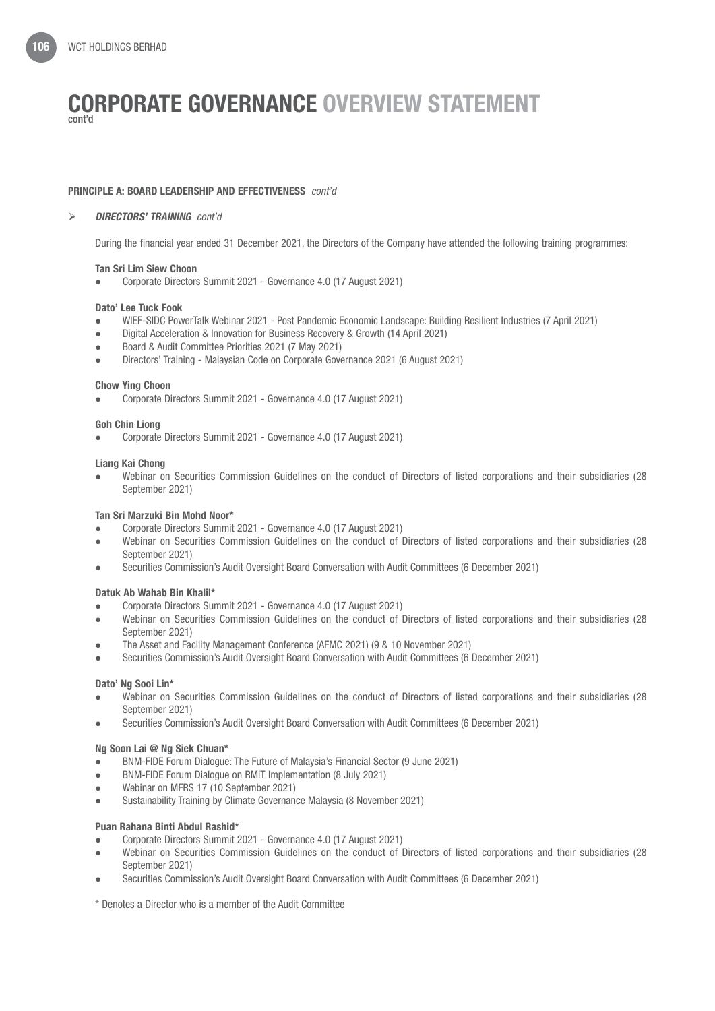#### PRINCIPLE A: BOARD LEADERSHIP AND EFFECTIVENESS *cont'd*

#### *DIRECTORS' TRAINING cont'd*

During the financial year ended 31 December 2021, the Directors of the Company have attended the following training programmes:

#### Tan Sri Lim Siew Choon

l Corporate Directors Summit 2021 - Governance 4.0 (17 August 2021)

#### Dato' Lee Tuck Fook

- **WIEF-SIDC PowerTalk Webinar 2021 Post Pandemic Economic Landscape: Building Resilient Industries (7 April 2021)**
- l Digital Acceleration & Innovation for Business Recovery & Growth (14 April 2021)
- l Board & Audit Committee Priorities 2021 (7 May 2021)
- l Directors' Training Malaysian Code on Corporate Governance 2021 (6 August 2021)

#### Chow Ying Choon

• Corporate Directors Summit 2021 - Governance 4.0 (17 August 2021)

#### Goh Chin Liong

l Corporate Directors Summit 2021 - Governance 4.0 (17 August 2021)

#### Liang Kai Chong

l Webinar on Securities Commission Guidelines on the conduct of Directors of listed corporations and their subsidiaries (28 September 2021)

#### Tan Sri Marzuki Bin Mohd Noor\*

- l Corporate Directors Summit 2021 Governance 4.0 (17 August 2021)
- l Webinar on Securities Commission Guidelines on the conduct of Directors of listed corporations and their subsidiaries (28 September 2021)
- l Securities Commission's Audit Oversight Board Conversation with Audit Committees (6 December 2021)

#### Datuk Ab Wahab Bin Khalil\*

- l Corporate Directors Summit 2021 Governance 4.0 (17 August 2021)
- l Webinar on Securities Commission Guidelines on the conduct of Directors of listed corporations and their subsidiaries (28 September 2021)
- The Asset and Facility Management Conference (AFMC 2021) (9 & 10 November 2021)
- l Securities Commission's Audit Oversight Board Conversation with Audit Committees (6 December 2021)

#### Dato' Ng Sooi Lin\*

- l Webinar on Securities Commission Guidelines on the conduct of Directors of listed corporations and their subsidiaries (28 September 2021)
- **.** Securities Commission's Audit Oversight Board Conversation with Audit Committees (6 December 2021)

#### Ng Soon Lai @ Ng Siek Chuan\*

- BNM-FIDE Forum Dialogue: The Future of Malaysia's Financial Sector (9 June 2021)
- BNM-FIDE Forum Dialogue on RMIT Implementation (8 July 2021)
- Webinar on MFRS 17 (10 September 2021)
- Sustainability Training by Climate Governance Malaysia (8 November 2021)

#### Puan Rahana Binti Abdul Rashid\*

- l Corporate Directors Summit 2021 Governance 4.0 (17 August 2021)
- l Webinar on Securities Commission Guidelines on the conduct of Directors of listed corporations and their subsidiaries (28 September 2021)
- l Securities Commission's Audit Oversight Board Conversation with Audit Committees (6 December 2021)
- \* Denotes a Director who is a member of the Audit Committee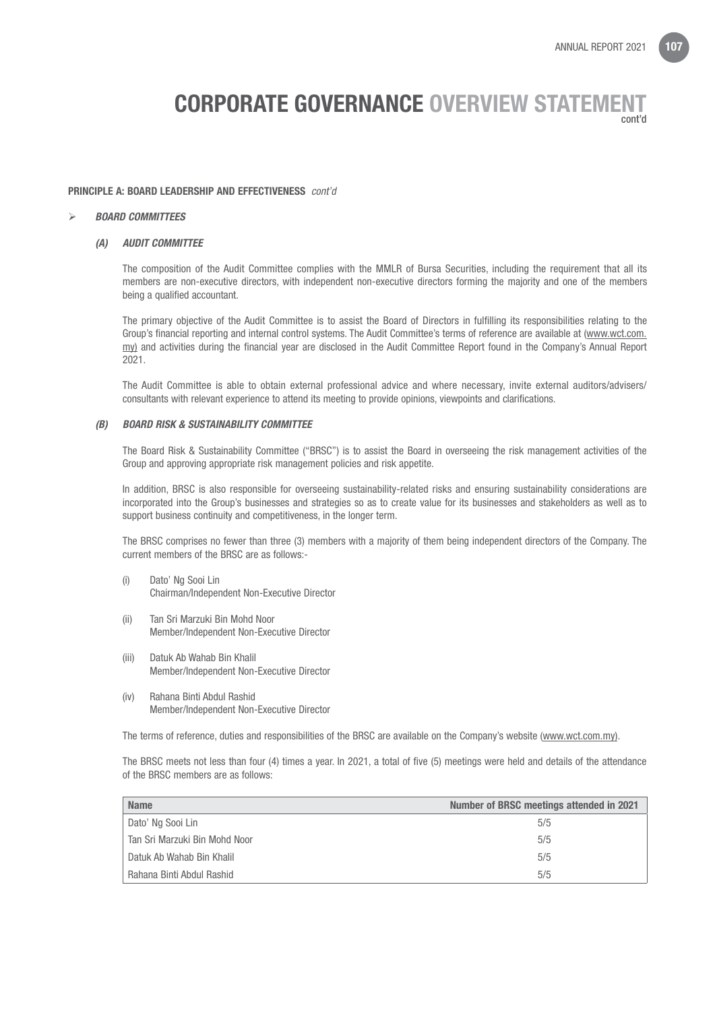#### PRINCIPLE A: BOARD LEADERSHIP AND EFFECTIVENESS *cont'd*

#### *BOARD COMMITTEES*

#### *(A) AUDIT COMMITTEE*

 The composition of the Audit Committee complies with the MMLR of Bursa Securities, including the requirement that all its members are non-executive directors, with independent non-executive directors forming the majority and one of the members being a qualified accountant.

 The primary objective of the Audit Committee is to assist the Board of Directors in fulfilling its responsibilities relating to the Group's financial reporting and internal control systems. The Audit Committee's terms of reference are available at (www.wct.com. my) and activities during the financial year are disclosed in the Audit Committee Report found in the Company's Annual Report 2021.

 The Audit Committee is able to obtain external professional advice and where necessary, invite external auditors/advisers/ consultants with relevant experience to attend its meeting to provide opinions, viewpoints and clarifications.

#### *(B) BOARD RISK & SUSTAINABILITY COMMITTEE*

 The Board Risk & Sustainability Committee ("BRSC") is to assist the Board in overseeing the risk management activities of the Group and approving appropriate risk management policies and risk appetite.

 In addition, BRSC is also responsible for overseeing sustainability-related risks and ensuring sustainability considerations are incorporated into the Group's businesses and strategies so as to create value for its businesses and stakeholders as well as to support business continuity and competitiveness, in the longer term.

 The BRSC comprises no fewer than three (3) members with a majority of them being independent directors of the Company. The current members of the BRSC are as follows:-

- (i) Dato' Ng Sooi Lin Chairman/Independent Non-Executive Director
- (ii) Tan Sri Marzuki Bin Mohd Noor Member/Independent Non-Executive Director
- (iii) Datuk Ab Wahab Bin Khalil Member/Independent Non-Executive Director
- (iv) Rahana Binti Abdul Rashid Member/Independent Non-Executive Director

The terms of reference, duties and responsibilities of the BRSC are available on the Company's website (www.wct.com.my).

 The BRSC meets not less than four (4) times a year. In 2021, a total of five (5) meetings were held and details of the attendance of the BRSC members are as follows:

| <b>Name</b>                   | Number of BRSC meetings attended in 2021 |  |  |  |  |
|-------------------------------|------------------------------------------|--|--|--|--|
| Dato' Ng Sooi Lin             | 5/5                                      |  |  |  |  |
| Tan Sri Marzuki Bin Mohd Noor | 5/5                                      |  |  |  |  |
| Datuk Ab Wahab Bin Khalil     | 5/5                                      |  |  |  |  |
| Rahana Binti Abdul Rashid     | 5/5                                      |  |  |  |  |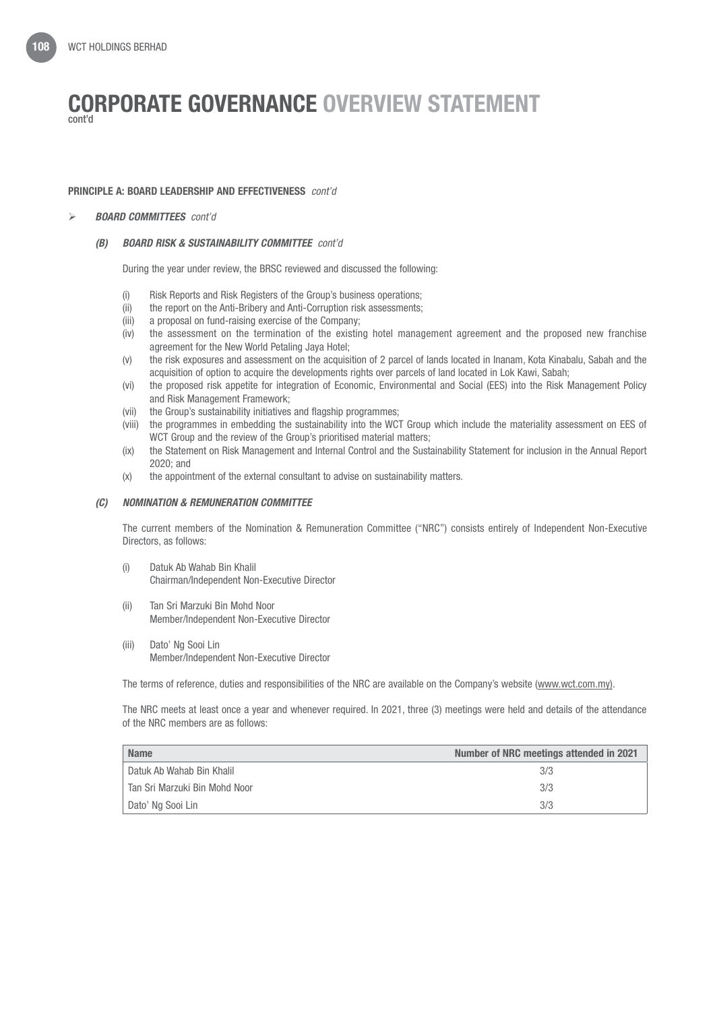## PRINCIPLE A: BOARD LEADERSHIP AND EFFECTIVENESS *cont'd*

## *BOARD COMMITTEES cont'd*

## *(B) BOARD RISK & SUSTAINABILITY COMMITTEE cont'd*

During the year under review, the BRSC reviewed and discussed the following:

- (i) Risk Reports and Risk Registers of the Group's business operations;
- (ii) the report on the Anti-Bribery and Anti-Corruption risk assessments;
- (iii) a proposal on fund-raising exercise of the Company;
- (iv) the assessment on the termination of the existing hotel management agreement and the proposed new franchise agreement for the New World Petaling Jaya Hotel;
- (v) the risk exposures and assessment on the acquisition of 2 parcel of lands located in Inanam, Kota Kinabalu, Sabah and the acquisition of option to acquire the developments rights over parcels of land located in Lok Kawi, Sabah;
- (vi) the proposed risk appetite for integration of Economic, Environmental and Social (EES) into the Risk Management Policy and Risk Management Framework;
- (vii) the Group's sustainability initiatives and flagship programmes;
- (viii) the programmes in embedding the sustainability into the WCT Group which include the materiality assessment on EES of WCT Group and the review of the Group's prioritised material matters;
- (ix) the Statement on Risk Management and Internal Control and the Sustainability Statement for inclusion in the Annual Report 2020; and
- (x) the appointment of the external consultant to advise on sustainability matters.

## *(C) NOMINATION & REMUNERATION COMMITTEE*

 The current members of the Nomination & Remuneration Committee ("NRC") consists entirely of Independent Non-Executive Directors, as follows:

- (i) Datuk Ab Wahab Bin Khalil Chairman/Independent Non-Executive Director
- (ii) Tan Sri Marzuki Bin Mohd Noor Member/Independent Non-Executive Director
- (iii) Dato' Ng Sooi Lin Member/Independent Non-Executive Director

The terms of reference, duties and responsibilities of the NRC are available on the Company's website (www.wct.com.my).

 The NRC meets at least once a year and whenever required. In 2021, three (3) meetings were held and details of the attendance of the NRC members are as follows:

| <b>Name</b>                   | Number of NRC meetings attended in 2021 |  |  |  |
|-------------------------------|-----------------------------------------|--|--|--|
| Datuk Ab Wahab Bin Khalil     | 3/3                                     |  |  |  |
| Tan Sri Marzuki Bin Mohd Noor | 3/3                                     |  |  |  |
| Dato' Ng Sooi Lin             | 3/3                                     |  |  |  |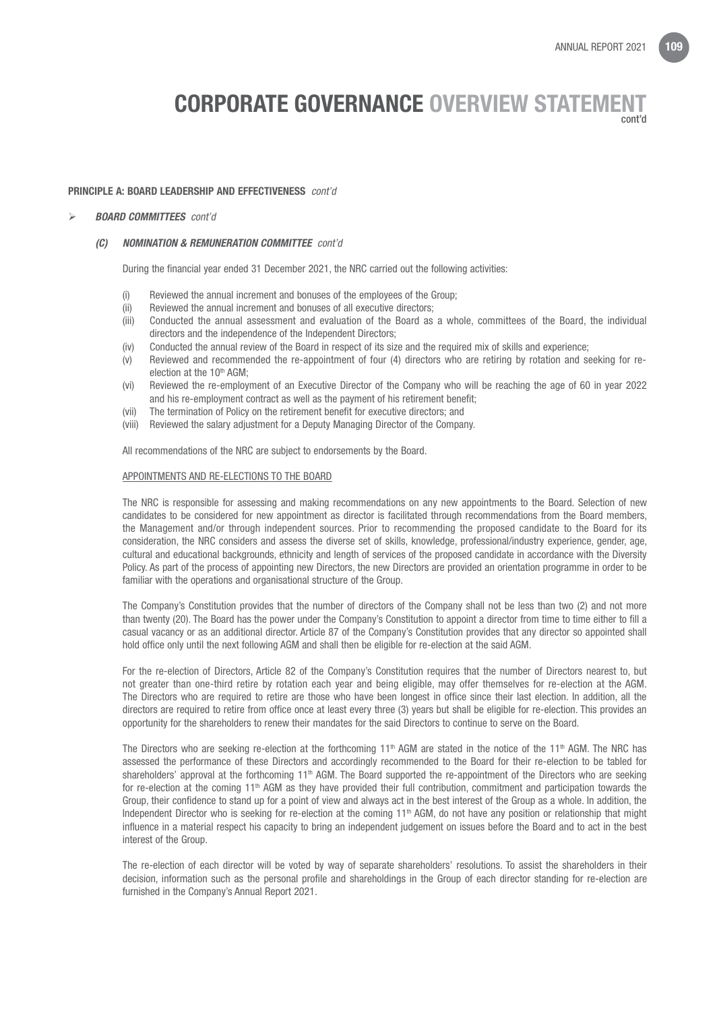#### PRINCIPLE A: BOARD LEADERSHIP AND EFFECTIVENESS *cont'd*

#### *BOARD COMMITTEES cont'd*

#### *(C) NOMINATION & REMUNERATION COMMITTEE cont'd*

During the financial year ended 31 December 2021, the NRC carried out the following activities:

- (i) Reviewed the annual increment and bonuses of the employees of the Group;
- (ii) Reviewed the annual increment and bonuses of all executive directors;
- (iii) Conducted the annual assessment and evaluation of the Board as a whole, committees of the Board, the individual directors and the independence of the Independent Directors;
- (iv) Conducted the annual review of the Board in respect of its size and the required mix of skills and experience;
- (v) Reviewed and recommended the re-appointment of four (4) directors who are retiring by rotation and seeking for reelection at the 10<sup>th</sup> AGM:
- (vi) Reviewed the re-employment of an Executive Director of the Company who will be reaching the age of 60 in year 2022 and his re-employment contract as well as the payment of his retirement benefit;
- (vii) The termination of Policy on the retirement benefit for executive directors; and
- (viii) Reviewed the salary adjustment for a Deputy Managing Director of the Company.

All recommendations of the NRC are subject to endorsements by the Board.

#### APPOINTMENTS AND RE-ELECTIONS TO THE BOARD

 The NRC is responsible for assessing and making recommendations on any new appointments to the Board. Selection of new candidates to be considered for new appointment as director is facilitated through recommendations from the Board members, the Management and/or through independent sources. Prior to recommending the proposed candidate to the Board for its consideration, the NRC considers and assess the diverse set of skills, knowledge, professional/industry experience, gender, age, cultural and educational backgrounds, ethnicity and length of services of the proposed candidate in accordance with the Diversity Policy. As part of the process of appointing new Directors, the new Directors are provided an orientation programme in order to be familiar with the operations and organisational structure of the Group.

 The Company's Constitution provides that the number of directors of the Company shall not be less than two (2) and not more than twenty (20). The Board has the power under the Company's Constitution to appoint a director from time to time either to fill a casual vacancy or as an additional director. Article 87 of the Company's Constitution provides that any director so appointed shall hold office only until the next following AGM and shall then be eligible for re-election at the said AGM.

 For the re-election of Directors, Article 82 of the Company's Constitution requires that the number of Directors nearest to, but not greater than one-third retire by rotation each year and being eligible, may offer themselves for re-election at the AGM. The Directors who are required to retire are those who have been longest in office since their last election. In addition, all the directors are required to retire from office once at least every three (3) years but shall be eligible for re-election. This provides an opportunity for the shareholders to renew their mandates for the said Directors to continue to serve on the Board.

The Directors who are seeking re-election at the forthcoming 11<sup>th</sup> AGM are stated in the notice of the 11<sup>th</sup> AGM. The NRC has assessed the performance of these Directors and accordingly recommended to the Board for their re-election to be tabled for shareholders' approval at the forthcoming  $11<sup>th</sup>$  AGM. The Board supported the re-appointment of the Directors who are seeking for re-election at the coming 11th AGM as they have provided their full contribution, commitment and participation towards the Group, their confidence to stand up for a point of view and always act in the best interest of the Group as a whole. In addition, the Independent Director who is seeking for re-election at the coming 11<sup>th</sup> AGM, do not have any position or relationship that might influence in a material respect his capacity to bring an independent judgement on issues before the Board and to act in the best interest of the Group.

 The re-election of each director will be voted by way of separate shareholders' resolutions. To assist the shareholders in their decision, information such as the personal profile and shareholdings in the Group of each director standing for re-election are furnished in the Company's Annual Report 2021.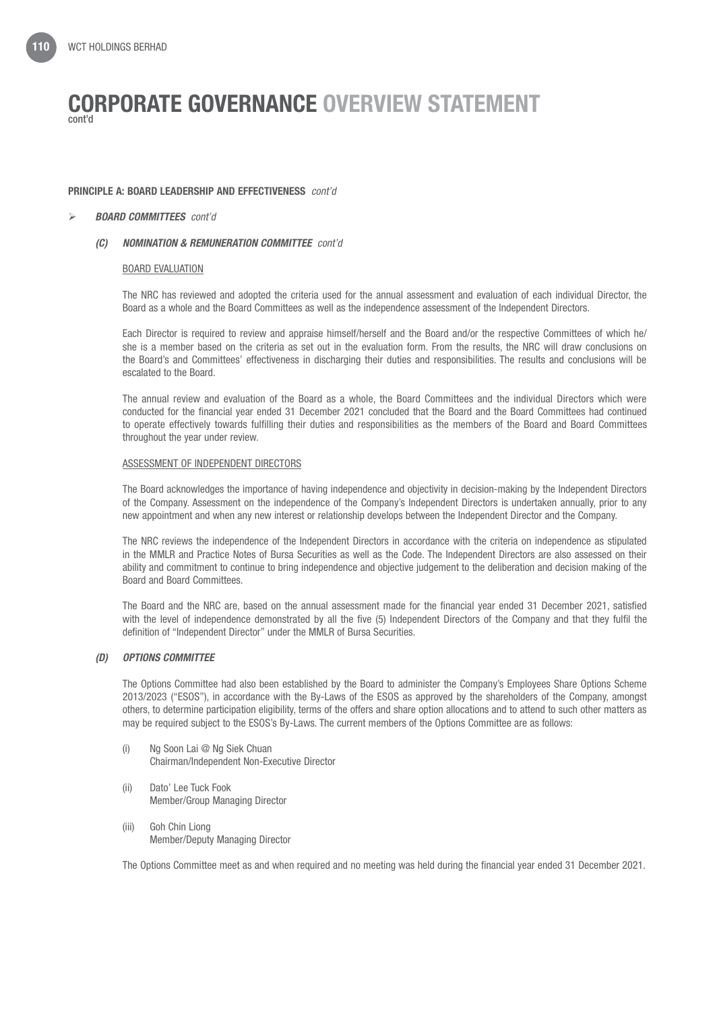### PRINCIPLE A: BOARD LEADERSHIP AND EFFECTIVENESS *cont'd*

### *BOARD COMMITTEES cont'd*

## *(C) NOMINATION & REMUNERATION COMMITTEE cont'd*

### BOARD EVALUATION

 The NRC has reviewed and adopted the criteria used for the annual assessment and evaluation of each individual Director, the Board as a whole and the Board Committees as well as the independence assessment of the Independent Directors.

 Each Director is required to review and appraise himself/herself and the Board and/or the respective Committees of which he/ she is a member based on the criteria as set out in the evaluation form. From the results, the NRC will draw conclusions on the Board's and Committees' effectiveness in discharging their duties and responsibilities. The results and conclusions will be escalated to the Board.

 The annual review and evaluation of the Board as a whole, the Board Committees and the individual Directors which were conducted for the financial year ended 31 December 2021 concluded that the Board and the Board Committees had continued to operate effectively towards fulfilling their duties and responsibilities as the members of the Board and Board Committees throughout the year under review.

### ASSESSMENT OF INDEPENDENT DIRECTORS

 The Board acknowledges the importance of having independence and objectivity in decision-making by the Independent Directors of the Company. Assessment on the independence of the Company's Independent Directors is undertaken annually, prior to any new appointment and when any new interest or relationship develops between the Independent Director and the Company.

 The NRC reviews the independence of the Independent Directors in accordance with the criteria on independence as stipulated in the MMLR and Practice Notes of Bursa Securities as well as the Code. The Independent Directors are also assessed on their ability and commitment to continue to bring independence and objective judgement to the deliberation and decision making of the Board and Board Committees.

 The Board and the NRC are, based on the annual assessment made for the financial year ended 31 December 2021, satisfied with the level of independence demonstrated by all the five (5) Independent Directors of the Company and that they fulfil the definition of "Independent Director" under the MMLR of Bursa Securities.

## *(D) OPTIONS COMMITTEE*

 The Options Committee had also been established by the Board to administer the Company's Employees Share Options Scheme 2013/2023 ("ESOS"), in accordance with the By-Laws of the ESOS as approved by the shareholders of the Company, amongst others, to determine participation eligibility, terms of the offers and share option allocations and to attend to such other matters as may be required subject to the ESOS's By-Laws. The current members of the Options Committee are as follows:

- (i) Ng Soon Lai @ Ng Siek Chuan Chairman/Independent Non-Executive Director
- (ii) Dato' Lee Tuck Fook Member/Group Managing Director
- (iii) Goh Chin Liong Member/Deputy Managing Director

The Options Committee meet as and when required and no meeting was held during the financial year ended 31 December 2021.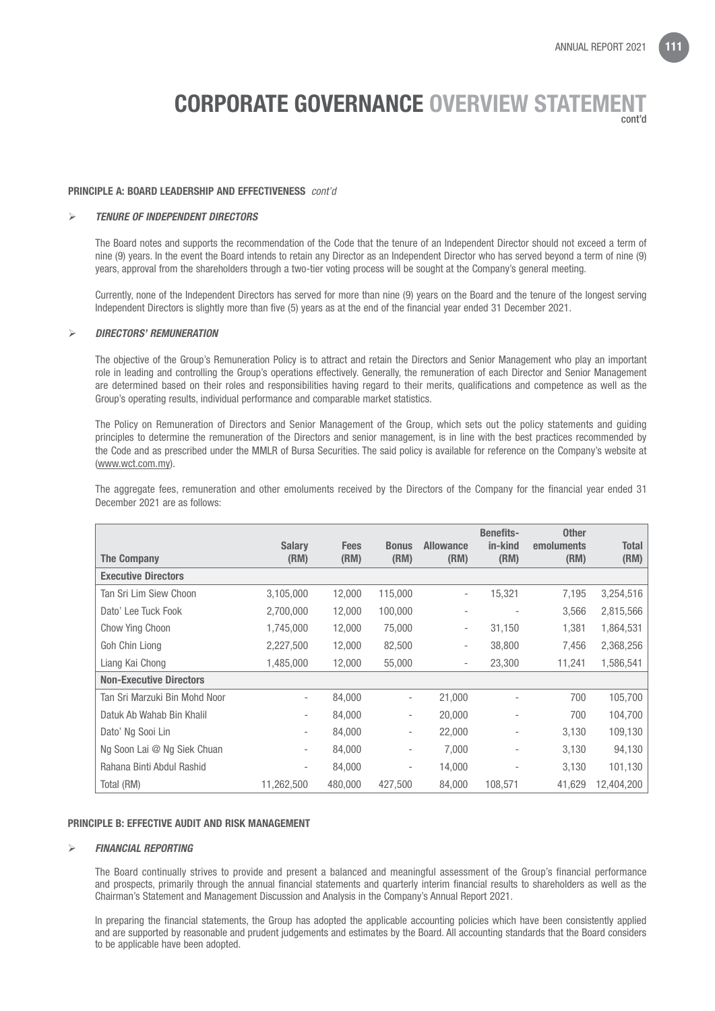#### PRINCIPLE A: BOARD LEADERSHIP AND EFFECTIVENESS *cont'd*

#### *TENURE OF INDEPENDENT DIRECTORS*

The Board notes and supports the recommendation of the Code that the tenure of an Independent Director should not exceed a term of nine (9) years. In the event the Board intends to retain any Director as an Independent Director who has served beyond a term of nine (9) years, approval from the shareholders through a two-tier voting process will be sought at the Company's general meeting.

Currently, none of the Independent Directors has served for more than nine (9) years on the Board and the tenure of the longest serving Independent Directors is slightly more than five (5) years as at the end of the financial year ended 31 December 2021.

#### *DIRECTORS' REMUNERATION*

The objective of the Group's Remuneration Policy is to attract and retain the Directors and Senior Management who play an important role in leading and controlling the Group's operations effectively. Generally, the remuneration of each Director and Senior Management are determined based on their roles and responsibilities having regard to their merits, qualifications and competence as well as the Group's operating results, individual performance and comparable market statistics.

The Policy on Remuneration of Directors and Senior Management of the Group, which sets out the policy statements and guiding principles to determine the remuneration of the Directors and senior management, is in line with the best practices recommended by the Code and as prescribed under the MMLR of Bursa Securities. The said policy is available for reference on the Company's website at (www.wct.com.my).

The aggregate fees, remuneration and other emoluments received by the Directors of the Company for the financial year ended 31 December 2021 are as follows:

|                                | <b>Salary</b>            | <b>Fees</b> | <b>Bonus</b>             | <b>Allowance</b>         | <b>Benefits-</b><br>in-kind | <b>Other</b><br>emoluments | <b>Total</b> |
|--------------------------------|--------------------------|-------------|--------------------------|--------------------------|-----------------------------|----------------------------|--------------|
| <b>The Company</b>             | (RM)                     | (RM)        | (RM)                     | (RM)                     | (RM)                        | (RM)                       | (RM)         |
| <b>Executive Directors</b>     |                          |             |                          |                          |                             |                            |              |
| Tan Sri Lim Siew Choon         | 3,105,000                | 12,000      | 115,000                  | $\overline{\phantom{a}}$ | 15,321                      | 7,195                      | 3,254,516    |
| Dato' Lee Tuck Fook            | 2,700,000                | 12,000      | 100,000                  | ٠                        | ٠                           | 3,566                      | 2,815,566    |
| Chow Ying Choon                | 1,745,000                | 12,000      | 75,000                   | $\overline{\phantom{a}}$ | 31,150                      | 1,381                      | 1,864,531    |
| Goh Chin Liong                 | 2,227,500                | 12,000      | 82,500                   | ۰.                       | 38,800                      | 7,456                      | 2,368,256    |
| Liang Kai Chong                | 1,485,000                | 12,000      | 55,000                   | $\overline{\phantom{a}}$ | 23,300                      | 11,241                     | 1,586,541    |
| <b>Non-Executive Directors</b> |                          |             |                          |                          |                             |                            |              |
| Tan Sri Marzuki Bin Mohd Noor  | $\overline{\phantom{a}}$ | 84,000      | $\overline{\phantom{a}}$ | 21,000                   |                             | 700                        | 105,700      |
| Datuk Ab Wahab Bin Khalil      | $\overline{\phantom{a}}$ | 84,000      | $\overline{\phantom{a}}$ | 20,000                   | $\overline{\phantom{a}}$    | 700                        | 104,700      |
| Dato' Ng Sooi Lin              | $\overline{\phantom{a}}$ | 84,000      | $\overline{\phantom{a}}$ | 22,000                   |                             | 3,130                      | 109,130      |
| Ng Soon Lai @ Ng Siek Chuan    | $\overline{\phantom{a}}$ | 84,000      | $\overline{\phantom{a}}$ | 7,000                    |                             | 3,130                      | 94,130       |
| Rahana Binti Abdul Rashid      | $\overline{\phantom{a}}$ | 84,000      | $\overline{\phantom{a}}$ | 14,000                   |                             | 3,130                      | 101,130      |
| Total (RM)                     | 11,262,500               | 480,000     | 427.500                  | 84,000                   | 108,571                     | 41,629                     | 12,404,200   |

#### PRINCIPLE B: EFFECTIVE AUDIT AND RISK MANAGEMENT

#### *FINANCIAL REPORTING*

The Board continually strives to provide and present a balanced and meaningful assessment of the Group's financial performance and prospects, primarily through the annual financial statements and quarterly interim financial results to shareholders as well as the Chairman's Statement and Management Discussion and Analysis in the Company's Annual Report 2021.

In preparing the financial statements, the Group has adopted the applicable accounting policies which have been consistently applied and are supported by reasonable and prudent judgements and estimates by the Board. All accounting standards that the Board considers to be applicable have been adopted.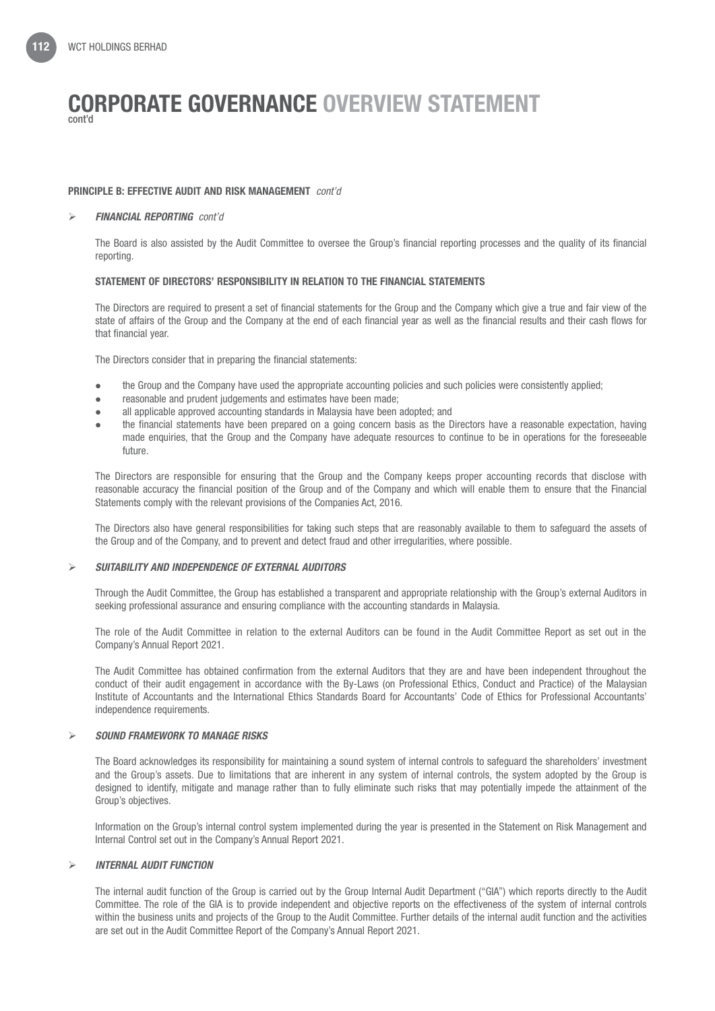## PRINCIPLE B: EFFECTIVE AUDIT AND RISK MANAGEMENT *cont'd*

## *FINANCIAL REPORTING cont'd*

The Board is also assisted by the Audit Committee to oversee the Group's financial reporting processes and the quality of its financial reporting.

## STATEMENT OF DIRECTORS' RESPONSIBILITY IN RELATION TO THE FINANCIAL STATEMENTS

The Directors are required to present a set of financial statements for the Group and the Company which give a true and fair view of the state of affairs of the Group and the Company at the end of each financial year as well as the financial results and their cash flows for that financial year.

The Directors consider that in preparing the financial statements:

- the Group and the Company have used the appropriate accounting policies and such policies were consistently applied;
- **e** reasonable and prudent judgements and estimates have been made;
- all applicable approved accounting standards in Malaysia have been adopted; and
- l the financial statements have been prepared on a going concern basis as the Directors have a reasonable expectation, having made enquiries, that the Group and the Company have adequate resources to continue to be in operations for the foreseeable future.

The Directors are responsible for ensuring that the Group and the Company keeps proper accounting records that disclose with reasonable accuracy the financial position of the Group and of the Company and which will enable them to ensure that the Financial Statements comply with the relevant provisions of the Companies Act, 2016.

The Directors also have general responsibilities for taking such steps that are reasonably available to them to safeguard the assets of the Group and of the Company, and to prevent and detect fraud and other irregularities, where possible.

## *SUITABILITY AND INDEPENDENCE OF EXTERNAL AUDITORS*

Through the Audit Committee, the Group has established a transparent and appropriate relationship with the Group's external Auditors in seeking professional assurance and ensuring compliance with the accounting standards in Malaysia.

The role of the Audit Committee in relation to the external Auditors can be found in the Audit Committee Report as set out in the Company's Annual Report 2021.

The Audit Committee has obtained confirmation from the external Auditors that they are and have been independent throughout the conduct of their audit engagement in accordance with the By-Laws (on Professional Ethics, Conduct and Practice) of the Malaysian Institute of Accountants and the International Ethics Standards Board for Accountants' Code of Ethics for Professional Accountants' independence requirements.

## *SOUND FRAMEWORK TO MANAGE RISKS*

The Board acknowledges its responsibility for maintaining a sound system of internal controls to safeguard the shareholders' investment and the Group's assets. Due to limitations that are inherent in any system of internal controls, the system adopted by the Group is designed to identify, mitigate and manage rather than to fully eliminate such risks that may potentially impede the attainment of the Group's objectives.

Information on the Group's internal control system implemented during the year is presented in the Statement on Risk Management and Internal Control set out in the Company's Annual Report 2021.

## *INTERNAL AUDIT FUNCTION*

The internal audit function of the Group is carried out by the Group Internal Audit Department ("GIA") which reports directly to the Audit Committee. The role of the GIA is to provide independent and objective reports on the effectiveness of the system of internal controls within the business units and projects of the Group to the Audit Committee. Further details of the internal audit function and the activities are set out in the Audit Committee Report of the Company's Annual Report 2021.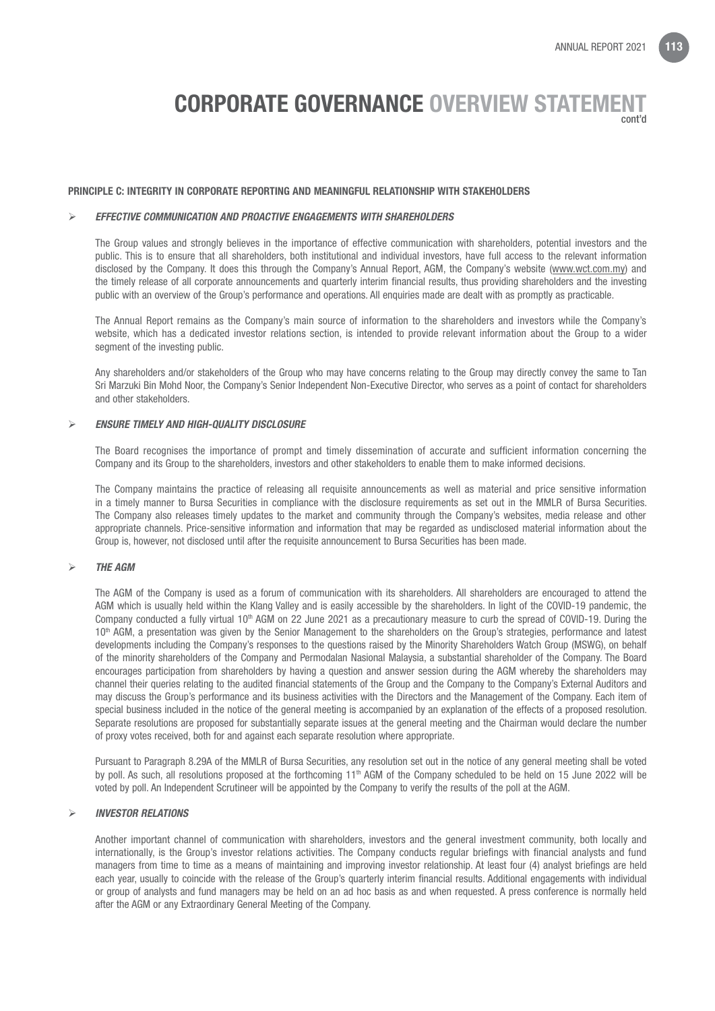#### PRINCIPLE C: INTEGRITY IN CORPORATE REPORTING AND MEANINGFUL RELATIONSHIP WITH STAKEHOLDERS

#### *EFFECTIVE COMMUNICATION AND PROACTIVE ENGAGEMENTS WITH SHAREHOLDERS*

The Group values and strongly believes in the importance of effective communication with shareholders, potential investors and the public. This is to ensure that all shareholders, both institutional and individual investors, have full access to the relevant information disclosed by the Company. It does this through the Company's Annual Report, AGM, the Company's website (www.wct.com.my) and the timely release of all corporate announcements and quarterly interim financial results, thus providing shareholders and the investing public with an overview of the Group's performance and operations. All enquiries made are dealt with as promptly as practicable.

The Annual Report remains as the Company's main source of information to the shareholders and investors while the Company's website, which has a dedicated investor relations section, is intended to provide relevant information about the Group to a wider segment of the investing public.

 Any shareholders and/or stakeholders of the Group who may have concerns relating to the Group may directly convey the same to Tan Sri Marzuki Bin Mohd Noor, the Company's Senior Independent Non-Executive Director, who serves as a point of contact for shareholders and other stakeholders.

#### *ENSURE TIMELY AND HIGH-QUALITY DISCLOSURE*

The Board recognises the importance of prompt and timely dissemination of accurate and sufficient information concerning the Company and its Group to the shareholders, investors and other stakeholders to enable them to make informed decisions.

The Company maintains the practice of releasing all requisite announcements as well as material and price sensitive information in a timely manner to Bursa Securities in compliance with the disclosure requirements as set out in the MMLR of Bursa Securities. The Company also releases timely updates to the market and community through the Company's websites, media release and other appropriate channels. Price-sensitive information and information that may be regarded as undisclosed material information about the Group is, however, not disclosed until after the requisite announcement to Bursa Securities has been made.

#### *THE AGM*

The AGM of the Company is used as a forum of communication with its shareholders. All shareholders are encouraged to attend the AGM which is usually held within the Klang Valley and is easily accessible by the shareholders. In light of the COVID-19 pandemic, the Company conducted a fully virtual 10<sup>th</sup> AGM on 22 June 2021 as a precautionary measure to curb the spread of COVID-19. During the 10th AGM, a presentation was given by the Senior Management to the shareholders on the Group's strategies, performance and latest developments including the Company's responses to the questions raised by the Minority Shareholders Watch Group (MSWG), on behalf of the minority shareholders of the Company and Permodalan Nasional Malaysia, a substantial shareholder of the Company. The Board encourages participation from shareholders by having a question and answer session during the AGM whereby the shareholders may channel their queries relating to the audited financial statements of the Group and the Company to the Company's External Auditors and may discuss the Group's performance and its business activities with the Directors and the Management of the Company. Each item of special business included in the notice of the general meeting is accompanied by an explanation of the effects of a proposed resolution. Separate resolutions are proposed for substantially separate issues at the general meeting and the Chairman would declare the number of proxy votes received, both for and against each separate resolution where appropriate.

Pursuant to Paragraph 8.29A of the MMLR of Bursa Securities, any resolution set out in the notice of any general meeting shall be voted by poll. As such, all resolutions proposed at the forthcoming 11<sup>th</sup> AGM of the Company scheduled to be held on 15 June 2022 will be voted by poll. An Independent Scrutineer will be appointed by the Company to verify the results of the poll at the AGM.

#### *INVESTOR RELATIONS*

Another important channel of communication with shareholders, investors and the general investment community, both locally and internationally, is the Group's investor relations activities. The Company conducts regular briefings with financial analysts and fund managers from time to time as a means of maintaining and improving investor relationship. At least four (4) analyst briefings are held each year, usually to coincide with the release of the Group's quarterly interim financial results. Additional engagements with individual or group of analysts and fund managers may be held on an ad hoc basis as and when requested. A press conference is normally held after the AGM or any Extraordinary General Meeting of the Company.